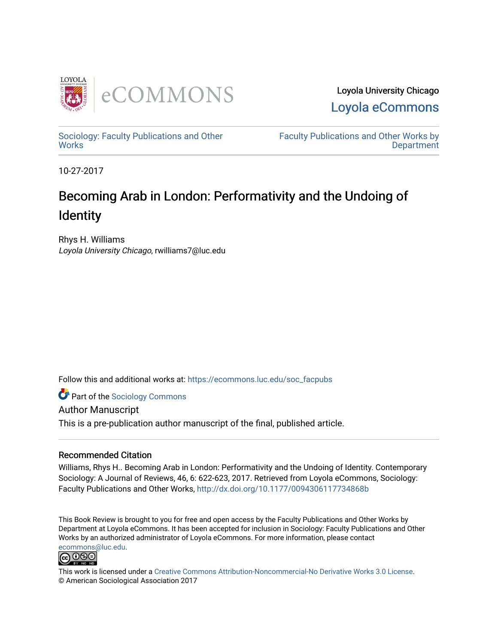

Loyola University Chicago [Loyola eCommons](https://ecommons.luc.edu/) 

[Sociology: Faculty Publications and Other](https://ecommons.luc.edu/soc_facpubs) **Works** 

[Faculty Publications and Other Works by](https://ecommons.luc.edu/faculty)  **Department** 

10-27-2017

## Becoming Arab in London: Performativity and the Undoing of **Identity**

Rhys H. Williams Loyola University Chicago, rwilliams7@luc.edu

Follow this and additional works at: [https://ecommons.luc.edu/soc\\_facpubs](https://ecommons.luc.edu/soc_facpubs?utm_source=ecommons.luc.edu%2Fsoc_facpubs%2F15&utm_medium=PDF&utm_campaign=PDFCoverPages) 

**C** Part of the [Sociology Commons](http://network.bepress.com/hgg/discipline/416?utm_source=ecommons.luc.edu%2Fsoc_facpubs%2F15&utm_medium=PDF&utm_campaign=PDFCoverPages)

Author Manuscript This is a pre-publication author manuscript of the final, published article.

## Recommended Citation

Williams, Rhys H.. Becoming Arab in London: Performativity and the Undoing of Identity. Contemporary Sociology: A Journal of Reviews, 46, 6: 622-623, 2017. Retrieved from Loyola eCommons, Sociology: Faculty Publications and Other Works,<http://dx.doi.org/10.1177/0094306117734868b>

This Book Review is brought to you for free and open access by the Faculty Publications and Other Works by Department at Loyola eCommons. It has been accepted for inclusion in Sociology: Faculty Publications and Other Works by an authorized administrator of Loyola eCommons. For more information, please contact [ecommons@luc.edu](mailto:ecommons@luc.edu).



This work is licensed under a [Creative Commons Attribution-Noncommercial-No Derivative Works 3.0 License.](https://creativecommons.org/licenses/by-nc-nd/3.0/) © American Sociological Association 2017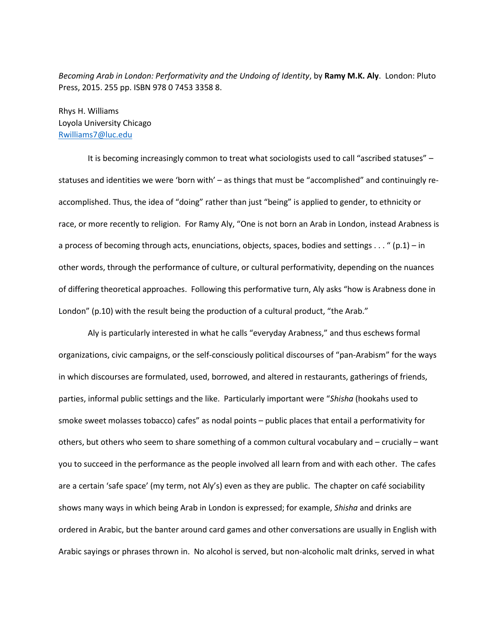*Becoming Arab in London: Performativity and the Undoing of Identity*, by **Ramy M.K. Aly**. London: Pluto Press, 2015. 255 pp. ISBN 978 0 7453 3358 8.

Rhys H. Williams Loyola University Chicago [Rwilliams7@luc.edu](mailto:Rwilliams7@luc.edu)

It is becoming increasingly common to treat what sociologists used to call "ascribed statuses" – statuses and identities we were 'born with' – as things that must be "accomplished" and continuingly reaccomplished. Thus, the idea of "doing" rather than just "being" is applied to gender, to ethnicity or race, or more recently to religion. For Ramy Aly, "One is not born an Arab in London, instead Arabness is a process of becoming through acts, enunciations, objects, spaces, bodies and settings . . . " (p.1) – in other words, through the performance of culture, or cultural performativity, depending on the nuances of differing theoretical approaches. Following this performative turn, Aly asks "how is Arabness done in London" (p.10) with the result being the production of a cultural product, "the Arab."

Aly is particularly interested in what he calls "everyday Arabness," and thus eschews formal organizations, civic campaigns, or the self-consciously political discourses of "pan-Arabism" for the ways in which discourses are formulated, used, borrowed, and altered in restaurants, gatherings of friends, parties, informal public settings and the like. Particularly important were "*Shisha* (hookahs used to smoke sweet molasses tobacco) cafes" as nodal points – public places that entail a performativity for others, but others who seem to share something of a common cultural vocabulary and – crucially – want you to succeed in the performance as the people involved all learn from and with each other. The cafes are a certain 'safe space' (my term, not Aly's) even as they are public. The chapter on café sociability shows many ways in which being Arab in London is expressed; for example, *Shisha* and drinks are ordered in Arabic, but the banter around card games and other conversations are usually in English with Arabic sayings or phrases thrown in. No alcohol is served, but non-alcoholic malt drinks, served in what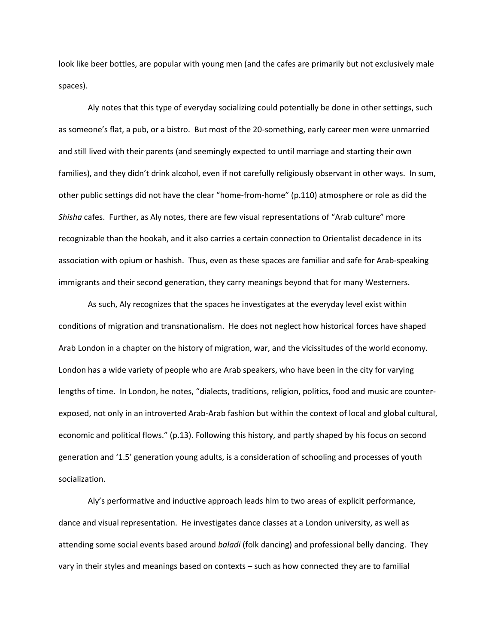look like beer bottles, are popular with young men (and the cafes are primarily but not exclusively male spaces).

Aly notes that this type of everyday socializing could potentially be done in other settings, such as someone's flat, a pub, or a bistro. But most of the 20-something, early career men were unmarried and still lived with their parents (and seemingly expected to until marriage and starting their own families), and they didn't drink alcohol, even if not carefully religiously observant in other ways. In sum, other public settings did not have the clear "home-from-home" (p.110) atmosphere or role as did the *Shisha* cafes. Further, as Aly notes, there are few visual representations of "Arab culture" more recognizable than the hookah, and it also carries a certain connection to Orientalist decadence in its association with opium or hashish. Thus, even as these spaces are familiar and safe for Arab-speaking immigrants and their second generation, they carry meanings beyond that for many Westerners.

As such, Aly recognizes that the spaces he investigates at the everyday level exist within conditions of migration and transnationalism. He does not neglect how historical forces have shaped Arab London in a chapter on the history of migration, war, and the vicissitudes of the world economy. London has a wide variety of people who are Arab speakers, who have been in the city for varying lengths of time. In London, he notes, "dialects, traditions, religion, politics, food and music are counterexposed, not only in an introverted Arab-Arab fashion but within the context of local and global cultural, economic and political flows." (p.13). Following this history, and partly shaped by his focus on second generation and '1.5' generation young adults, is a consideration of schooling and processes of youth socialization.

Aly's performative and inductive approach leads him to two areas of explicit performance, dance and visual representation. He investigates dance classes at a London university, as well as attending some social events based around *baladi* (folk dancing) and professional belly dancing. They vary in their styles and meanings based on contexts – such as how connected they are to familial